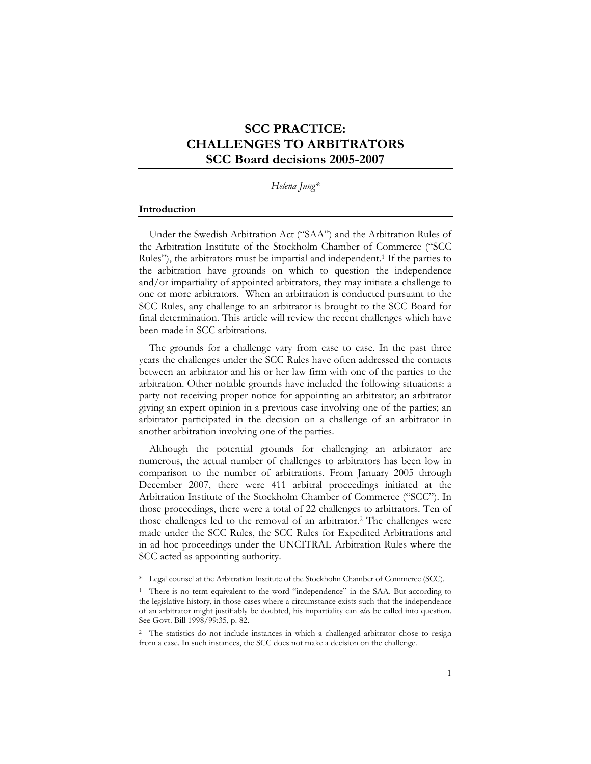# **SCC PRACTICE: CHALLENGES TO ARBITRATORS SCC Board decisions 2005-2007**

*Helena Jung\** 

#### **Introduction**

 $\overline{a}$ 

Under the Swedish Arbitration Act ("SAA") and the Arbitration Rules of the Arbitration Institute of the Stockholm Chamber of Commerce ("SCC Rules"), the arbitrators must be impartial and independent.<sup>1</sup> If the parties to the arbitration have grounds on which to question the independence and/or impartiality of appointed arbitrators, they may initiate a challenge to one or more arbitrators. When an arbitration is conducted pursuant to the SCC Rules, any challenge to an arbitrator is brought to the SCC Board for final determination. This article will review the recent challenges which have been made in SCC arbitrations.

The grounds for a challenge vary from case to case. In the past three years the challenges under the SCC Rules have often addressed the contacts between an arbitrator and his or her law firm with one of the parties to the arbitration. Other notable grounds have included the following situations: a party not receiving proper notice for appointing an arbitrator; an arbitrator giving an expert opinion in a previous case involving one of the parties; an arbitrator participated in the decision on a challenge of an arbitrator in another arbitration involving one of the parties.

Although the potential grounds for challenging an arbitrator are numerous, the actual number of challenges to arbitrators has been low in comparison to the number of arbitrations. From January 2005 through December 2007, there were 411 arbitral proceedings initiated at the Arbitration Institute of the Stockholm Chamber of Commerce ("SCC"). In those proceedings, there were a total of 22 challenges to arbitrators. Ten of those challenges led to the removal of an arbitrator.2 The challenges were made under the SCC Rules, the SCC Rules for Expedited Arbitrations and in ad hoc proceedings under the UNCITRAL Arbitration Rules where the SCC acted as appointing authority.

<sup>\*</sup> Legal counsel at the Arbitration Institute of the Stockholm Chamber of Commerce (SCC).

<sup>1</sup> There is no term equivalent to the word "independence" in the SAA. But according to the legislative history, in those cases where a circumstance exists such that the independence of an arbitrator might justifiably be doubted, his impartiality can *also* be called into question. See Govt. Bill 1998/99:35, p. 82.

<sup>2</sup> The statistics do not include instances in which a challenged arbitrator chose to resign from a case. In such instances, the SCC does not make a decision on the challenge.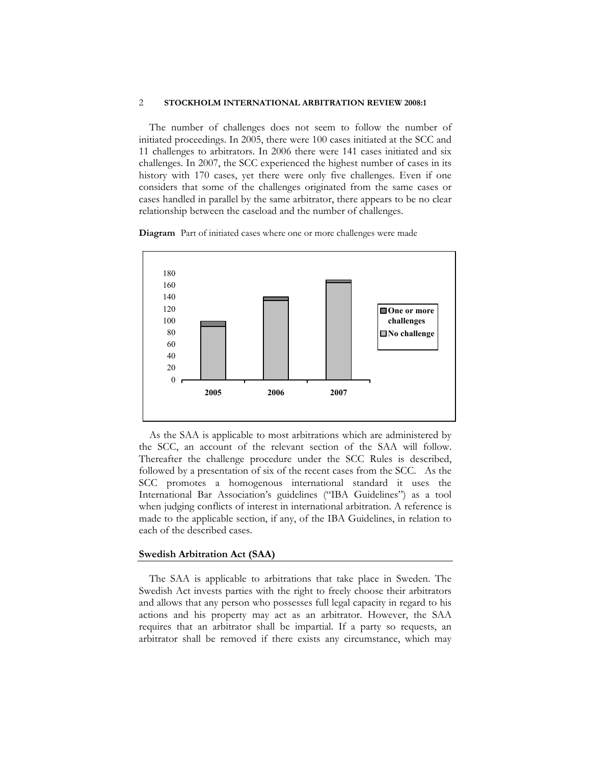The number of challenges does not seem to follow the number of initiated proceedings. In 2005, there were 100 cases initiated at the SCC and 11 challenges to arbitrators. In 2006 there were 141 cases initiated and six challenges. In 2007, the SCC experienced the highest number of cases in its history with 170 cases, yet there were only five challenges. Even if one considers that some of the challenges originated from the same cases or cases handled in parallel by the same arbitrator, there appears to be no clear relationship between the caseload and the number of challenges.

**Diagram** Part of initiated cases where one or more challenges were made



As the SAA is applicable to most arbitrations which are administered by the SCC, an account of the relevant section of the SAA will follow. Thereafter the challenge procedure under the SCC Rules is described, followed by a presentation of six of the recent cases from the SCC. As the SCC promotes a homogenous international standard it uses the International Bar Association's guidelines ("IBA Guidelines") as a tool when judging conflicts of interest in international arbitration. A reference is made to the applicable section, if any, of the IBA Guidelines, in relation to each of the described cases.

#### **Swedish Arbitration Act (SAA)**

The SAA is applicable to arbitrations that take place in Sweden. The Swedish Act invests parties with the right to freely choose their arbitrators and allows that any person who possesses full legal capacity in regard to his actions and his property may act as an arbitrator. However, the SAA requires that an arbitrator shall be impartial. If a party so requests, an arbitrator shall be removed if there exists any circumstance, which may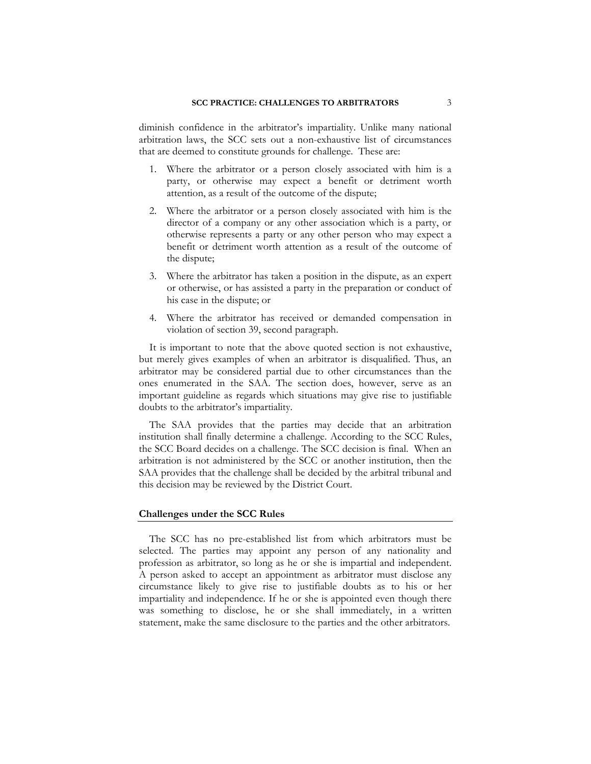diminish confidence in the arbitrator's impartiality. Unlike many national arbitration laws, the SCC sets out a non-exhaustive list of circumstances that are deemed to constitute grounds for challenge. These are:

- 1. Where the arbitrator or a person closely associated with him is a party, or otherwise may expect a benefit or detriment worth attention, as a result of the outcome of the dispute;
- 2. Where the arbitrator or a person closely associated with him is the director of a company or any other association which is a party, or otherwise represents a party or any other person who may expect a benefit or detriment worth attention as a result of the outcome of the dispute;
- 3. Where the arbitrator has taken a position in the dispute, as an expert or otherwise, or has assisted a party in the preparation or conduct of his case in the dispute; or
- 4. Where the arbitrator has received or demanded compensation in violation of section 39, second paragraph.

It is important to note that the above quoted section is not exhaustive, but merely gives examples of when an arbitrator is disqualified. Thus, an arbitrator may be considered partial due to other circumstances than the ones enumerated in the SAA. The section does, however, serve as an important guideline as regards which situations may give rise to justifiable doubts to the arbitrator's impartiality.

The SAA provides that the parties may decide that an arbitration institution shall finally determine a challenge. According to the SCC Rules, the SCC Board decides on a challenge. The SCC decision is final. When an arbitration is not administered by the SCC or another institution, then the SAA provides that the challenge shall be decided by the arbitral tribunal and this decision may be reviewed by the District Court.

#### **Challenges under the SCC Rules**

The SCC has no pre-established list from which arbitrators must be selected. The parties may appoint any person of any nationality and profession as arbitrator, so long as he or she is impartial and independent. A person asked to accept an appointment as arbitrator must disclose any circumstance likely to give rise to justifiable doubts as to his or her impartiality and independence. If he or she is appointed even though there was something to disclose, he or she shall immediately, in a written statement, make the same disclosure to the parties and the other arbitrators.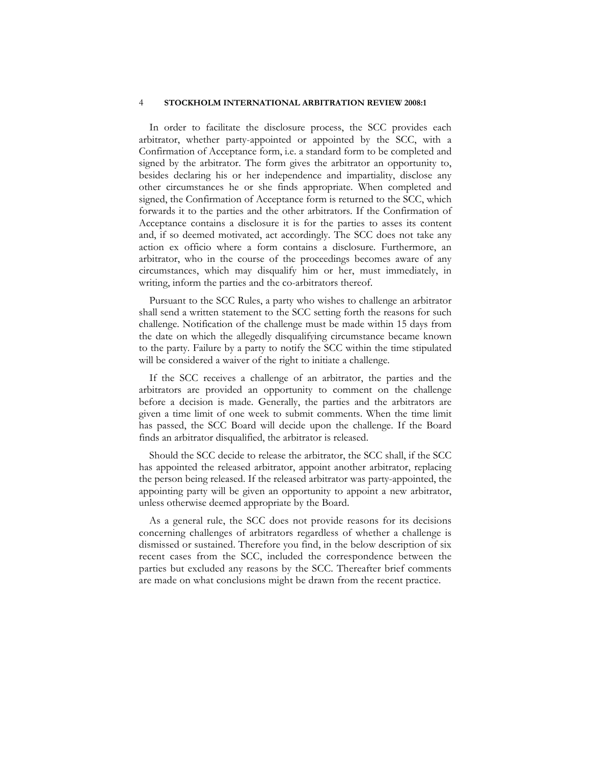In order to facilitate the disclosure process, the SCC provides each arbitrator, whether party-appointed or appointed by the SCC, with a Confirmation of Acceptance form, i.e. a standard form to be completed and signed by the arbitrator. The form gives the arbitrator an opportunity to, besides declaring his or her independence and impartiality, disclose any other circumstances he or she finds appropriate. When completed and signed, the Confirmation of Acceptance form is returned to the SCC, which forwards it to the parties and the other arbitrators. If the Confirmation of Acceptance contains a disclosure it is for the parties to asses its content and, if so deemed motivated, act accordingly. The SCC does not take any action ex officio where a form contains a disclosure. Furthermore, an arbitrator, who in the course of the proceedings becomes aware of any circumstances, which may disqualify him or her, must immediately, in writing, inform the parties and the co-arbitrators thereof.

Pursuant to the SCC Rules, a party who wishes to challenge an arbitrator shall send a written statement to the SCC setting forth the reasons for such challenge. Notification of the challenge must be made within 15 days from the date on which the allegedly disqualifying circumstance became known to the party. Failure by a party to notify the SCC within the time stipulated will be considered a waiver of the right to initiate a challenge.

If the SCC receives a challenge of an arbitrator, the parties and the arbitrators are provided an opportunity to comment on the challenge before a decision is made. Generally, the parties and the arbitrators are given a time limit of one week to submit comments. When the time limit has passed, the SCC Board will decide upon the challenge. If the Board finds an arbitrator disqualified, the arbitrator is released.

Should the SCC decide to release the arbitrator, the SCC shall, if the SCC has appointed the released arbitrator, appoint another arbitrator, replacing the person being released. If the released arbitrator was party-appointed, the appointing party will be given an opportunity to appoint a new arbitrator, unless otherwise deemed appropriate by the Board.

As a general rule, the SCC does not provide reasons for its decisions concerning challenges of arbitrators regardless of whether a challenge is dismissed or sustained. Therefore you find, in the below description of six recent cases from the SCC, included the correspondence between the parties but excluded any reasons by the SCC. Thereafter brief comments are made on what conclusions might be drawn from the recent practice.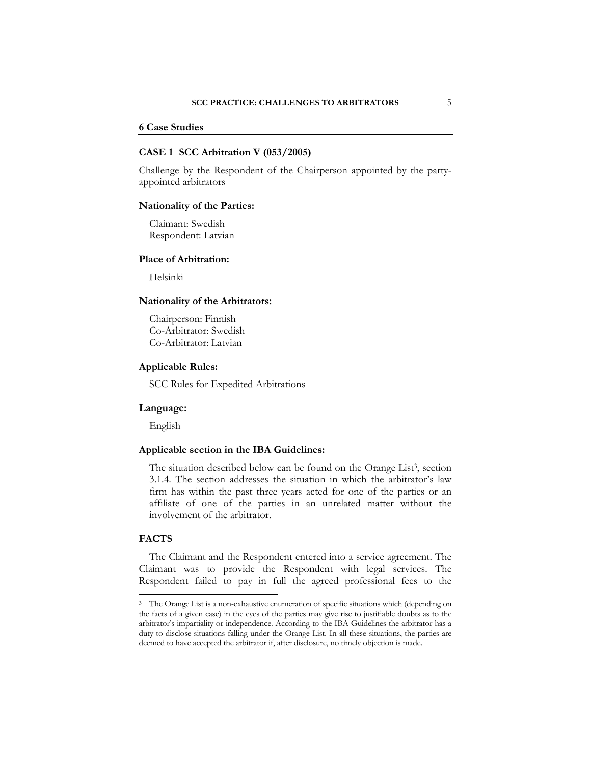### **6 Case Studies**

### **CASE 1 SCC Arbitration V (053/2005)**

Challenge by the Respondent of the Chairperson appointed by the partyappointed arbitrators

### **Nationality of the Parties:**

 Claimant: Swedish Respondent: Latvian

### **Place of Arbitration:**

Helsinki

# **Nationality of the Arbitrators:**

 Chairperson: Finnish Co-Arbitrator: Swedish Co-Arbitrator: Latvian

### **Applicable Rules:**

SCC Rules for Expedited Arbitrations

### **Language:**

English

# **Applicable section in the IBA Guidelines:**

The situation described below can be found on the Orange List<sup>3</sup>, section 3.1.4. The section addresses the situation in which the arbitrator's law firm has within the past three years acted for one of the parties or an affiliate of one of the parties in an unrelated matter without the involvement of the arbitrator.

### **FACTS**

 $\overline{a}$ 

The Claimant and the Respondent entered into a service agreement. The Claimant was to provide the Respondent with legal services. The Respondent failed to pay in full the agreed professional fees to the

<sup>3</sup> The Orange List is a non-exhaustive enumeration of specific situations which (depending on the facts of a given case) in the eyes of the parties may give rise to justifiable doubts as to the arbitrator's impartiality or independence. According to the IBA Guidelines the arbitrator has a duty to disclose situations falling under the Orange List. In all these situations, the parties are deemed to have accepted the arbitrator if, after disclosure, no timely objection is made.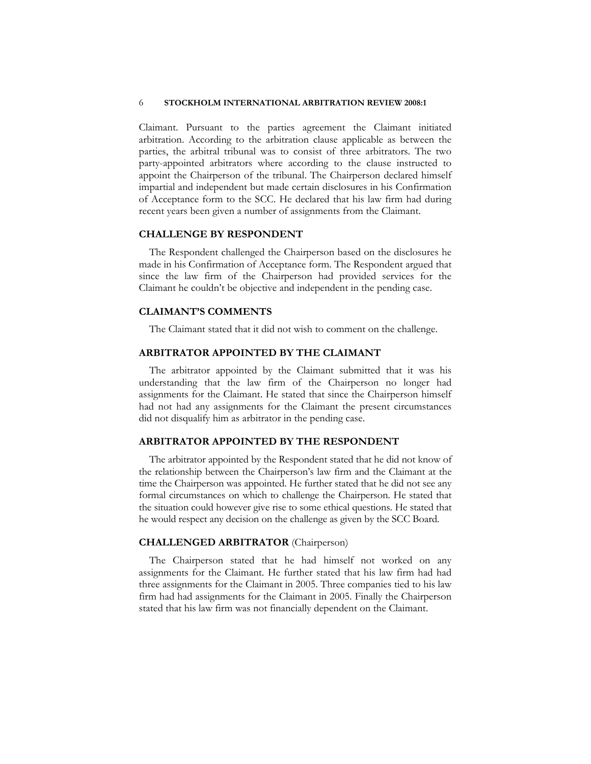Claimant. Pursuant to the parties agreement the Claimant initiated arbitration. According to the arbitration clause applicable as between the parties, the arbitral tribunal was to consist of three arbitrators. The two party-appointed arbitrators where according to the clause instructed to appoint the Chairperson of the tribunal. The Chairperson declared himself impartial and independent but made certain disclosures in his Confirmation of Acceptance form to the SCC. He declared that his law firm had during recent years been given a number of assignments from the Claimant.

### **CHALLENGE BY RESPONDENT**

The Respondent challenged the Chairperson based on the disclosures he made in his Confirmation of Acceptance form. The Respondent argued that since the law firm of the Chairperson had provided services for the Claimant he couldn't be objective and independent in the pending case.

### **CLAIMANT'S COMMENTS**

The Claimant stated that it did not wish to comment on the challenge.

# **ARBITRATOR APPOINTED BY THE CLAIMANT**

The arbitrator appointed by the Claimant submitted that it was his understanding that the law firm of the Chairperson no longer had assignments for the Claimant. He stated that since the Chairperson himself had not had any assignments for the Claimant the present circumstances did not disqualify him as arbitrator in the pending case.

### **ARBITRATOR APPOINTED BY THE RESPONDENT**

The arbitrator appointed by the Respondent stated that he did not know of the relationship between the Chairperson's law firm and the Claimant at the time the Chairperson was appointed. He further stated that he did not see any formal circumstances on which to challenge the Chairperson. He stated that the situation could however give rise to some ethical questions. He stated that he would respect any decision on the challenge as given by the SCC Board.

### **CHALLENGED ARBITRATOR** (Chairperson)

The Chairperson stated that he had himself not worked on any assignments for the Claimant. He further stated that his law firm had had three assignments for the Claimant in 2005. Three companies tied to his law firm had had assignments for the Claimant in 2005. Finally the Chairperson stated that his law firm was not financially dependent on the Claimant.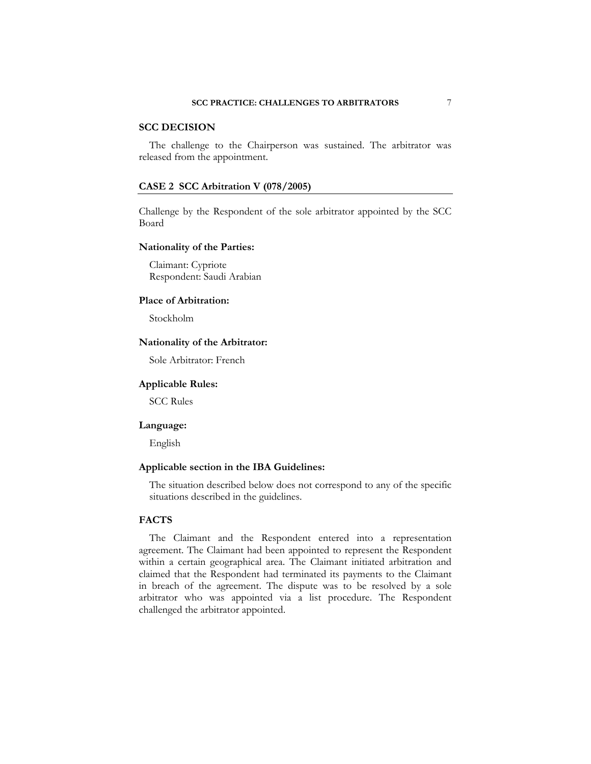# **SCC DECISION**

The challenge to the Chairperson was sustained. The arbitrator was released from the appointment.

### **CASE 2 SCC Arbitration V (078/2005)**

Challenge by the Respondent of the sole arbitrator appointed by the SCC Board

### **Nationality of the Parties:**

 Claimant: Cypriote Respondent: Saudi Arabian

#### **Place of Arbitration:**

Stockholm

# **Nationality of the Arbitrator:**

Sole Arbitrator: French

### **Applicable Rules:**

SCC Rules

#### **Language:**

English

# **Applicable section in the IBA Guidelines:**

The situation described below does not correspond to any of the specific situations described in the guidelines.

# **FACTS**

The Claimant and the Respondent entered into a representation agreement. The Claimant had been appointed to represent the Respondent within a certain geographical area. The Claimant initiated arbitration and claimed that the Respondent had terminated its payments to the Claimant in breach of the agreement. The dispute was to be resolved by a sole arbitrator who was appointed via a list procedure. The Respondent challenged the arbitrator appointed.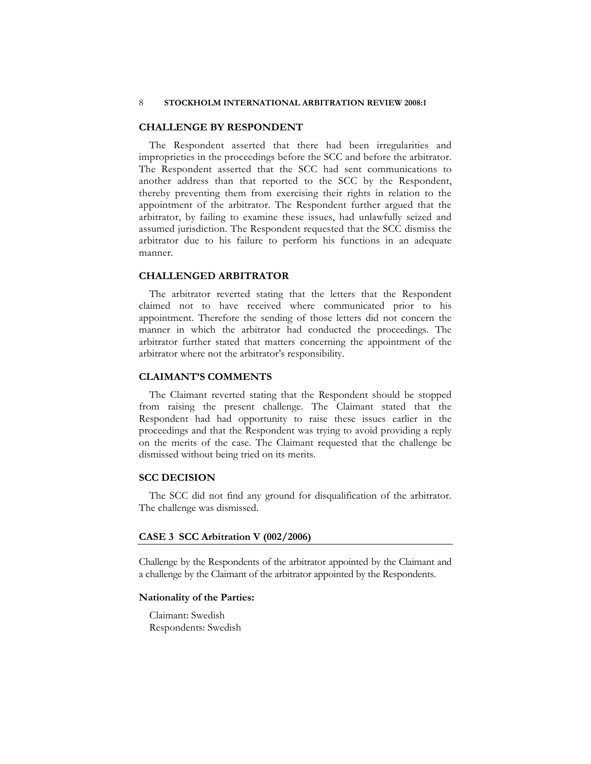### **CHALLENGE BY RESPONDENT**

The Respondent asserted that there had been irregularities and improprieties in the proceedings before the SCC and before the arbitrator. The Respondent asserted that the SCC had sent communications to another address than that reported to the SCC by the Respondent, thereby preventing them from exercising their rights in relation to the appointment of the arbitrator. The Respondent further argued that the arbitrator, by failing to examine these issues, had unlawfully seized and assumed jurisdiction. The Respondent requested that the SCC dismiss the arbitrator due to his failure to perform his functions in an adequate manner.

### **CHALLENGED ARBITRATOR**

The arbitrator reverted stating that the letters that the Respondent claimed not to have received where communicated prior to his appointment. Therefore the sending of those letters did not concern the manner in which the arbitrator had conducted the proceedings. The arbitrator further stated that matters concerning the appointment of the arbitrator where not the arbitrator's responsibility.

# **CLAIMANT'S COMMENTS**

The Claimant reverted stating that the Respondent should be stopped from raising the present challenge. The Claimant stated that the Respondent had had opportunity to raise these issues earlier in the proceedings and that the Respondent was trying to avoid providing a reply on the merits of the case. The Claimant requested that the challenge be dismissed without being tried on its merits.

# **SCC DECISION**

The SCC did not find any ground for disqualification of the arbitrator. The challenge was dismissed.

#### **CASE 3 SCC Arbitration V (002/2006)**

Challenge by the Respondents of the arbitrator appointed by the Claimant and a challenge by the Claimant of the arbitrator appointed by the Respondents.

#### **Nationality of the Parties:**

 Claimant: Swedish Respondents: Swedish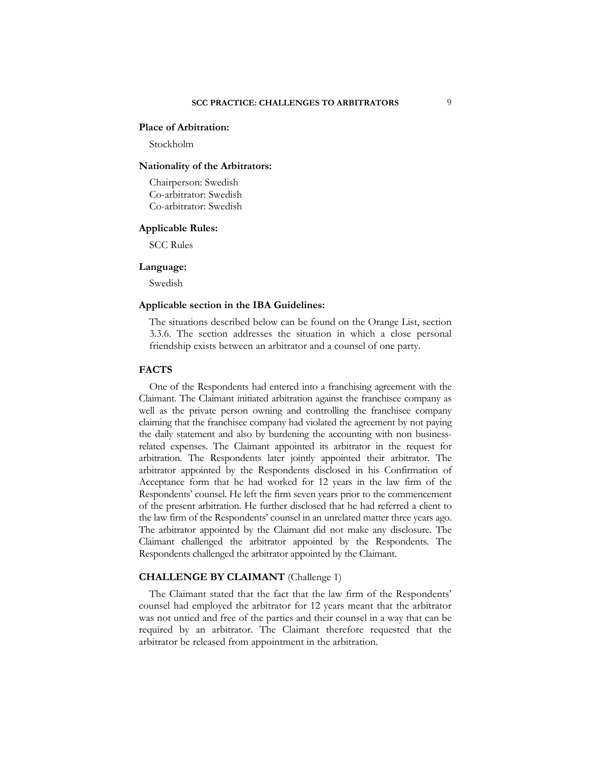# **Place of Arbitration:**

Stockholm

#### **Nationality of the Arbitrators:**

 Chairperson: Swedish Co-arbitrator: Swedish Co-arbitrator: Swedish

### **Applicable Rules:**

SCC Rules

#### **Language:**

Swedish

### **Applicable section in the IBA Guidelines:**

The situations described below can be found on the Orange List, section 3.3.6. The section addresses the situation in which a close personal friendship exists between an arbitrator and a counsel of one party.

#### **FACTS**

One of the Respondents had entered into a franchising agreement with the Claimant. The Claimant initiated arbitration against the franchisee company as well as the private person owning and controlling the franchisee company claiming that the franchisee company had violated the agreement by not paying the daily statement and also by burdening the accounting with non businessrelated expenses. The Claimant appointed its arbitrator in the request for arbitration. The Respondents later jointly appointed their arbitrator. The arbitrator appointed by the Respondents disclosed in his Confirmation of Acceptance form that he had worked for 12 years in the law firm of the Respondents' counsel. He left the firm seven years prior to the commencement of the present arbitration. He further disclosed that he had referred a client to the law firm of the Respondents' counsel in an unrelated matter three years ago. The arbitrator appointed by the Claimant did not make any disclosure. The Claimant challenged the arbitrator appointed by the Respondents. The Respondents challenged the arbitrator appointed by the Claimant.

#### **CHALLENGE BY CLAIMANT** (Challenge 1)

The Claimant stated that the fact that the law firm of the Respondents' counsel had employed the arbitrator for 12 years meant that the arbitrator was not untied and free of the parties and their counsel in a way that can be required by an arbitrator. The Claimant therefore requested that the arbitrator be released from appointment in the arbitration.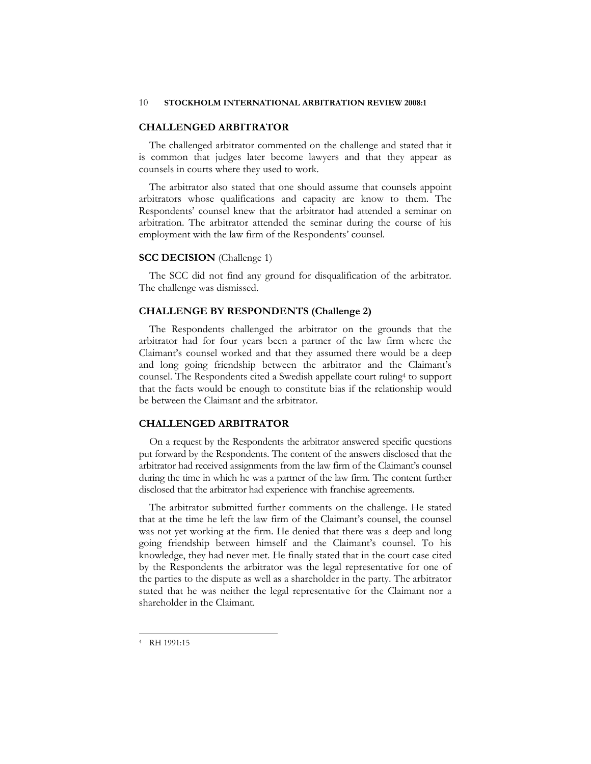### **CHALLENGED ARBITRATOR**

The challenged arbitrator commented on the challenge and stated that it is common that judges later become lawyers and that they appear as counsels in courts where they used to work.

The arbitrator also stated that one should assume that counsels appoint arbitrators whose qualifications and capacity are know to them. The Respondents' counsel knew that the arbitrator had attended a seminar on arbitration. The arbitrator attended the seminar during the course of his employment with the law firm of the Respondents' counsel.

### **SCC DECISION** (Challenge 1)

The SCC did not find any ground for disqualification of the arbitrator. The challenge was dismissed.

### **CHALLENGE BY RESPONDENTS (Challenge 2)**

The Respondents challenged the arbitrator on the grounds that the arbitrator had for four years been a partner of the law firm where the Claimant's counsel worked and that they assumed there would be a deep and long going friendship between the arbitrator and the Claimant's counsel. The Respondents cited a Swedish appellate court ruling4 to support that the facts would be enough to constitute bias if the relationship would be between the Claimant and the arbitrator.

# **CHALLENGED ARBITRATOR**

On a request by the Respondents the arbitrator answered specific questions put forward by the Respondents. The content of the answers disclosed that the arbitrator had received assignments from the law firm of the Claimant's counsel during the time in which he was a partner of the law firm. The content further disclosed that the arbitrator had experience with franchise agreements.

The arbitrator submitted further comments on the challenge. He stated that at the time he left the law firm of the Claimant's counsel, the counsel was not yet working at the firm. He denied that there was a deep and long going friendship between himself and the Claimant's counsel. To his knowledge, they had never met. He finally stated that in the court case cited by the Respondents the arbitrator was the legal representative for one of the parties to the dispute as well as a shareholder in the party. The arbitrator stated that he was neither the legal representative for the Claimant nor a shareholder in the Claimant.

 $\overline{a}$ 

<sup>4</sup> RH 1991:15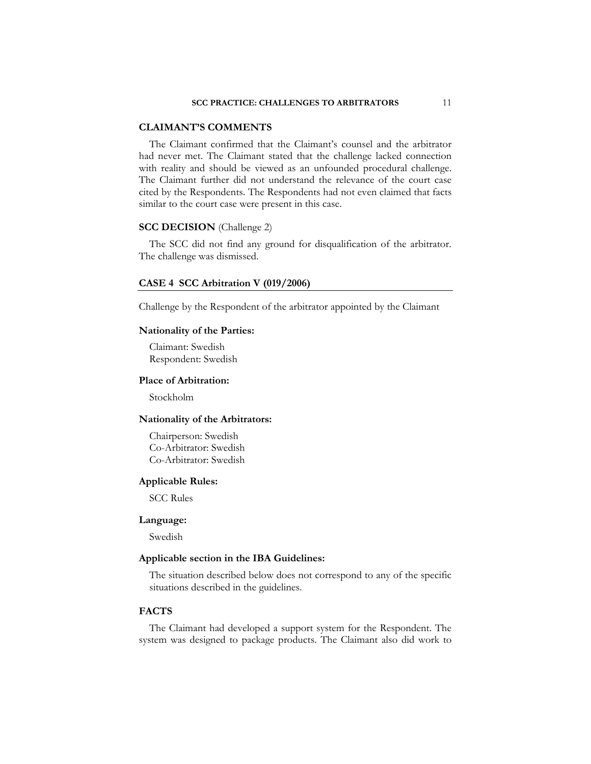### **CLAIMANT'S COMMENTS**

The Claimant confirmed that the Claimant's counsel and the arbitrator had never met. The Claimant stated that the challenge lacked connection with reality and should be viewed as an unfounded procedural challenge. The Claimant further did not understand the relevance of the court case cited by the Respondents. The Respondents had not even claimed that facts similar to the court case were present in this case.

# **SCC DECISION** (Challenge 2)

The SCC did not find any ground for disqualification of the arbitrator. The challenge was dismissed.

### **CASE 4 SCC Arbitration V (019/2006)**

Challenge by the Respondent of the arbitrator appointed by the Claimant

#### **Nationality of the Parties:**

 Claimant: Swedish Respondent: Swedish

### **Place of Arbitration:**

Stockholm

# **Nationality of the Arbitrators:**

 Chairperson: Swedish Co-Arbitrator: Swedish Co-Arbitrator: Swedish

### **Applicable Rules:**

SCC Rules

#### **Language:**

Swedish

# **Applicable section in the IBA Guidelines:**

The situation described below does not correspond to any of the specific situations described in the guidelines.

### **FACTS**

The Claimant had developed a support system for the Respondent. The system was designed to package products. The Claimant also did work to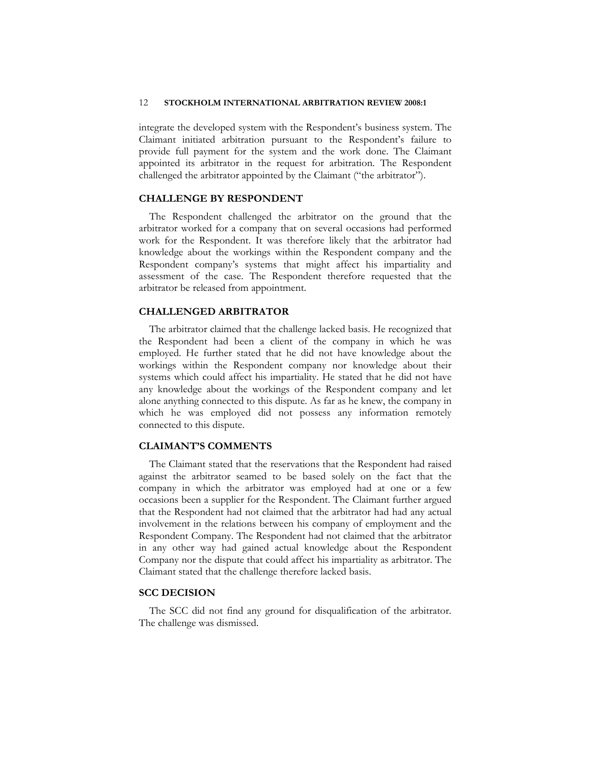integrate the developed system with the Respondent's business system. The Claimant initiated arbitration pursuant to the Respondent's failure to provide full payment for the system and the work done. The Claimant appointed its arbitrator in the request for arbitration. The Respondent challenged the arbitrator appointed by the Claimant ("the arbitrator").

# **CHALLENGE BY RESPONDENT**

The Respondent challenged the arbitrator on the ground that the arbitrator worked for a company that on several occasions had performed work for the Respondent. It was therefore likely that the arbitrator had knowledge about the workings within the Respondent company and the Respondent company's systems that might affect his impartiality and assessment of the case. The Respondent therefore requested that the arbitrator be released from appointment.

#### **CHALLENGED ARBITRATOR**

The arbitrator claimed that the challenge lacked basis. He recognized that the Respondent had been a client of the company in which he was employed. He further stated that he did not have knowledge about the workings within the Respondent company nor knowledge about their systems which could affect his impartiality. He stated that he did not have any knowledge about the workings of the Respondent company and let alone anything connected to this dispute. As far as he knew, the company in which he was employed did not possess any information remotely connected to this dispute.

### **CLAIMANT'S COMMENTS**

The Claimant stated that the reservations that the Respondent had raised against the arbitrator seamed to be based solely on the fact that the company in which the arbitrator was employed had at one or a few occasions been a supplier for the Respondent. The Claimant further argued that the Respondent had not claimed that the arbitrator had had any actual involvement in the relations between his company of employment and the Respondent Company. The Respondent had not claimed that the arbitrator in any other way had gained actual knowledge about the Respondent Company nor the dispute that could affect his impartiality as arbitrator. The Claimant stated that the challenge therefore lacked basis.

### **SCC DECISION**

The SCC did not find any ground for disqualification of the arbitrator. The challenge was dismissed.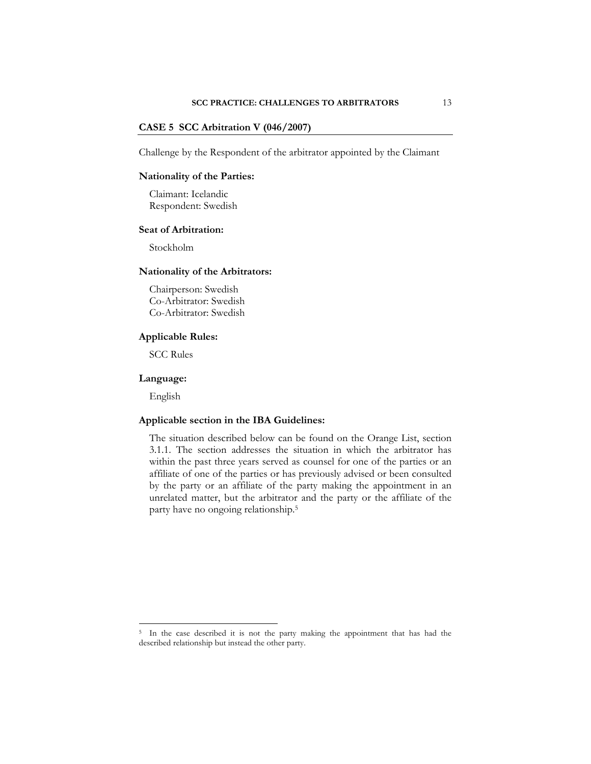### **CASE 5 SCC Arbitration V (046/2007)**

Challenge by the Respondent of the arbitrator appointed by the Claimant

### **Nationality of the Parties:**

 Claimant: Icelandic Respondent: Swedish

### **Seat of Arbitration:**

Stockholm

### **Nationality of the Arbitrators:**

 Chairperson: Swedish Co-Arbitrator: Swedish Co-Arbitrator: Swedish

### **Applicable Rules:**

SCC Rules

### **Language:**

English

 $\overline{a}$ 

# **Applicable section in the IBA Guidelines:**

The situation described below can be found on the Orange List, section 3.1.1. The section addresses the situation in which the arbitrator has within the past three years served as counsel for one of the parties or an affiliate of one of the parties or has previously advised or been consulted by the party or an affiliate of the party making the appointment in an unrelated matter, but the arbitrator and the party or the affiliate of the party have no ongoing relationship.5

<sup>&</sup>lt;sup>5</sup> In the case described it is not the party making the appointment that has had the described relationship but instead the other party.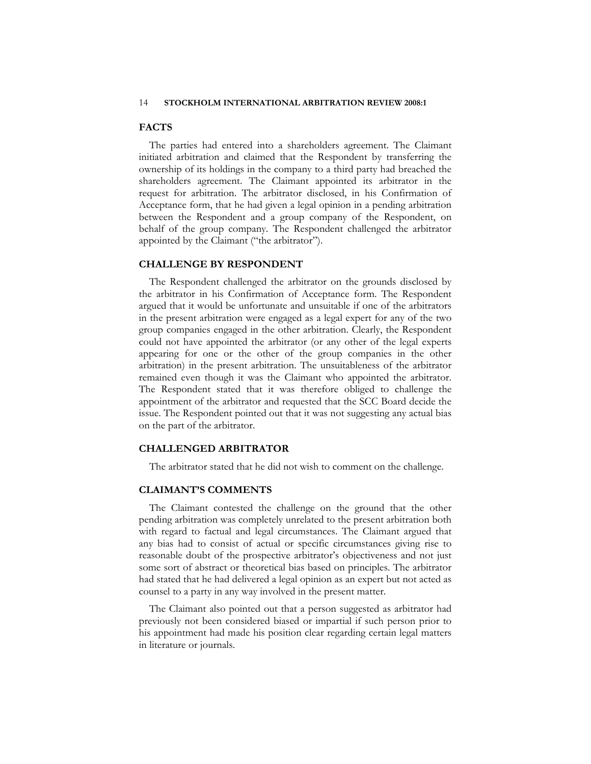### **FACTS**

The parties had entered into a shareholders agreement. The Claimant initiated arbitration and claimed that the Respondent by transferring the ownership of its holdings in the company to a third party had breached the shareholders agreement. The Claimant appointed its arbitrator in the request for arbitration. The arbitrator disclosed, in his Confirmation of Acceptance form, that he had given a legal opinion in a pending arbitration between the Respondent and a group company of the Respondent, on behalf of the group company. The Respondent challenged the arbitrator appointed by the Claimant ("the arbitrator").

### **CHALLENGE BY RESPONDENT**

The Respondent challenged the arbitrator on the grounds disclosed by the arbitrator in his Confirmation of Acceptance form. The Respondent argued that it would be unfortunate and unsuitable if one of the arbitrators in the present arbitration were engaged as a legal expert for any of the two group companies engaged in the other arbitration. Clearly, the Respondent could not have appointed the arbitrator (or any other of the legal experts appearing for one or the other of the group companies in the other arbitration) in the present arbitration. The unsuitableness of the arbitrator remained even though it was the Claimant who appointed the arbitrator. The Respondent stated that it was therefore obliged to challenge the appointment of the arbitrator and requested that the SCC Board decide the issue. The Respondent pointed out that it was not suggesting any actual bias on the part of the arbitrator.

### **CHALLENGED ARBITRATOR**

The arbitrator stated that he did not wish to comment on the challenge.

# **CLAIMANT'S COMMENTS**

The Claimant contested the challenge on the ground that the other pending arbitration was completely unrelated to the present arbitration both with regard to factual and legal circumstances. The Claimant argued that any bias had to consist of actual or specific circumstances giving rise to reasonable doubt of the prospective arbitrator's objectiveness and not just some sort of abstract or theoretical bias based on principles. The arbitrator had stated that he had delivered a legal opinion as an expert but not acted as counsel to a party in any way involved in the present matter.

The Claimant also pointed out that a person suggested as arbitrator had previously not been considered biased or impartial if such person prior to his appointment had made his position clear regarding certain legal matters in literature or journals.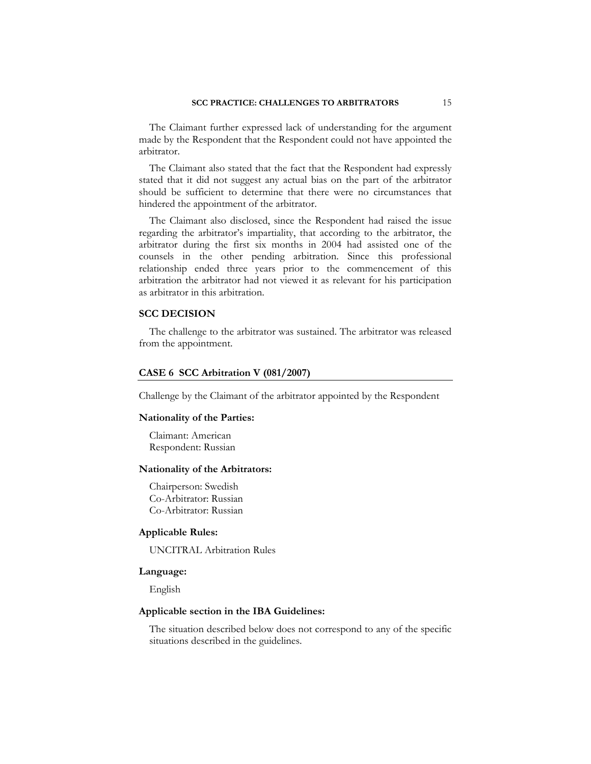The Claimant further expressed lack of understanding for the argument made by the Respondent that the Respondent could not have appointed the arbitrator.

The Claimant also stated that the fact that the Respondent had expressly stated that it did not suggest any actual bias on the part of the arbitrator should be sufficient to determine that there were no circumstances that hindered the appointment of the arbitrator.

The Claimant also disclosed, since the Respondent had raised the issue regarding the arbitrator's impartiality, that according to the arbitrator, the arbitrator during the first six months in 2004 had assisted one of the counsels in the other pending arbitration. Since this professional relationship ended three years prior to the commencement of this arbitration the arbitrator had not viewed it as relevant for his participation as arbitrator in this arbitration.

### **SCC DECISION**

The challenge to the arbitrator was sustained. The arbitrator was released from the appointment.

#### **CASE 6 SCC Arbitration V (081/2007)**

Challenge by the Claimant of the arbitrator appointed by the Respondent

### **Nationality of the Parties:**

 Claimant: American Respondent: Russian

#### **Nationality of the Arbitrators:**

 Chairperson: Swedish Co-Arbitrator: Russian Co-Arbitrator: Russian

### **Applicable Rules:**

UNCITRAL Arbitration Rules

### **Language:**

English

#### **Applicable section in the IBA Guidelines:**

The situation described below does not correspond to any of the specific situations described in the guidelines.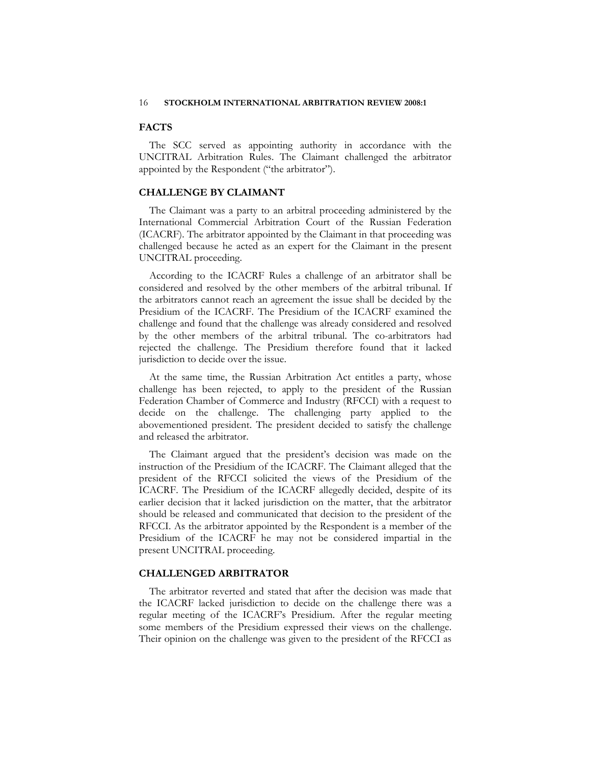# **FACTS**

The SCC served as appointing authority in accordance with the UNCITRAL Arbitration Rules. The Claimant challenged the arbitrator appointed by the Respondent ("the arbitrator").

### **CHALLENGE BY CLAIMANT**

The Claimant was a party to an arbitral proceeding administered by the International Commercial Arbitration Court of the Russian Federation (ICACRF). The arbitrator appointed by the Claimant in that proceeding was challenged because he acted as an expert for the Claimant in the present UNCITRAL proceeding.

According to the ICACRF Rules a challenge of an arbitrator shall be considered and resolved by the other members of the arbitral tribunal. If the arbitrators cannot reach an agreement the issue shall be decided by the Presidium of the ICACRF. The Presidium of the ICACRF examined the challenge and found that the challenge was already considered and resolved by the other members of the arbitral tribunal. The co-arbitrators had rejected the challenge. The Presidium therefore found that it lacked jurisdiction to decide over the issue.

At the same time, the Russian Arbitration Act entitles a party, whose challenge has been rejected, to apply to the president of the Russian Federation Chamber of Commerce and Industry (RFCCI) with a request to decide on the challenge. The challenging party applied to the abovementioned president. The president decided to satisfy the challenge and released the arbitrator.

The Claimant argued that the president's decision was made on the instruction of the Presidium of the ICACRF. The Claimant alleged that the president of the RFCCI solicited the views of the Presidium of the ICACRF. The Presidium of the ICACRF allegedly decided, despite of its earlier decision that it lacked jurisdiction on the matter, that the arbitrator should be released and communicated that decision to the president of the RFCCI. As the arbitrator appointed by the Respondent is a member of the Presidium of the ICACRF he may not be considered impartial in the present UNCITRAL proceeding.

# **CHALLENGED ARBITRATOR**

The arbitrator reverted and stated that after the decision was made that the ICACRF lacked jurisdiction to decide on the challenge there was a regular meeting of the ICACRF's Presidium. After the regular meeting some members of the Presidium expressed their views on the challenge. Their opinion on the challenge was given to the president of the RFCCI as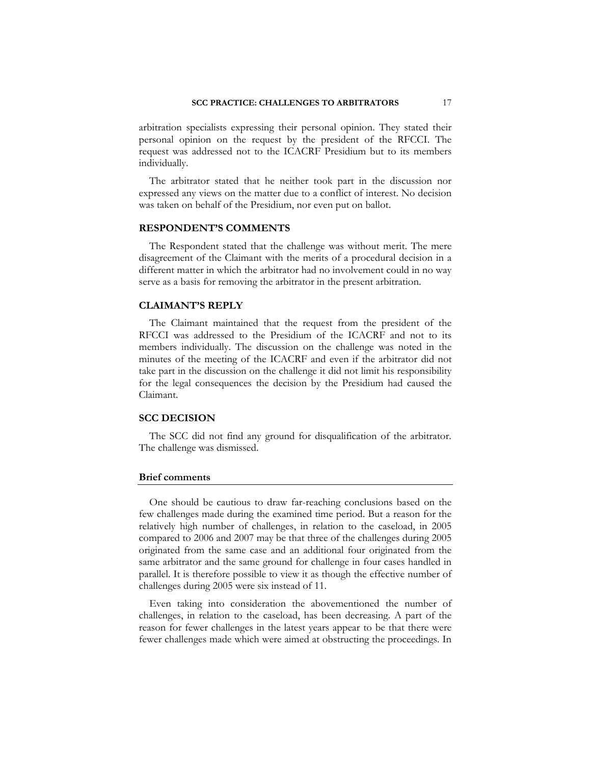arbitration specialists expressing their personal opinion. They stated their personal opinion on the request by the president of the RFCCI. The request was addressed not to the ICACRF Presidium but to its members individually.

The arbitrator stated that he neither took part in the discussion nor expressed any views on the matter due to a conflict of interest. No decision was taken on behalf of the Presidium, nor even put on ballot.

### **RESPONDENT'S COMMENTS**

The Respondent stated that the challenge was without merit. The mere disagreement of the Claimant with the merits of a procedural decision in a different matter in which the arbitrator had no involvement could in no way serve as a basis for removing the arbitrator in the present arbitration.

### **CLAIMANT'S REPLY**

The Claimant maintained that the request from the president of the RFCCI was addressed to the Presidium of the ICACRF and not to its members individually. The discussion on the challenge was noted in the minutes of the meeting of the ICACRF and even if the arbitrator did not take part in the discussion on the challenge it did not limit his responsibility for the legal consequences the decision by the Presidium had caused the Claimant.

### **SCC DECISION**

The SCC did not find any ground for disqualification of the arbitrator. The challenge was dismissed.

### **Brief comments**

One should be cautious to draw far-reaching conclusions based on the few challenges made during the examined time period. But a reason for the relatively high number of challenges, in relation to the caseload, in 2005 compared to 2006 and 2007 may be that three of the challenges during 2005 originated from the same case and an additional four originated from the same arbitrator and the same ground for challenge in four cases handled in parallel. It is therefore possible to view it as though the effective number of challenges during 2005 were six instead of 11.

Even taking into consideration the abovementioned the number of challenges, in relation to the caseload, has been decreasing. A part of the reason for fewer challenges in the latest years appear to be that there were fewer challenges made which were aimed at obstructing the proceedings. In